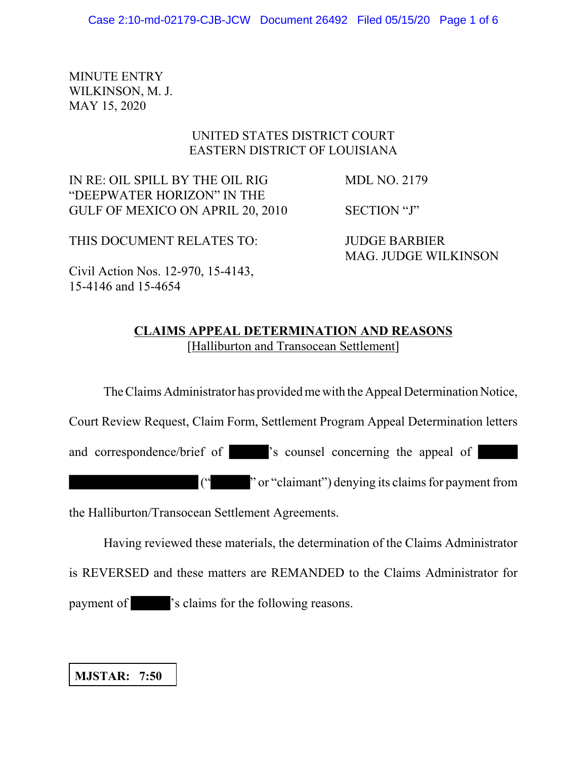MINUTE ENTRY WILKINSON, M. J. MAY 15, 2020

# UNITED STATES DISTRICT COURT EASTERN DISTRICT OF LOUISIANA

IN RE: OIL SPILL BY THE OIL RIG MDL NO. 2179 "DEEPWATER HORIZON" IN THE GULF OF MEXICO ON APRIL 20, 2010 SECTION "J"

THIS DOCUMENT RELATES TO: JUDGE BARBIER

MAG. JUDGE WILKINSON

Civil Action Nos. 12-970, 15-4143, 15-4146 and 15-4654

# **CLAIMS APPEAL DETERMINATION AND REASONS** [Halliburton and Transocean Settlement]

The Claims Administrator has provided me with the Appeal Determination Notice,

Court Review Request, Claim Form, Settlement Program Appeal Determination letters

and correspondence/brief of 's counsel concerning the appeal of

(" " or "claimant") denying its claims for payment from

the Halliburton/Transocean Settlement Agreements.

Having reviewed these materials, the determination of the Claims Administrator

is REVERSED and these matters are REMANDED to the Claims Administrator for

payment of 's claims for the following reasons.

**MJSTAR: 7:50**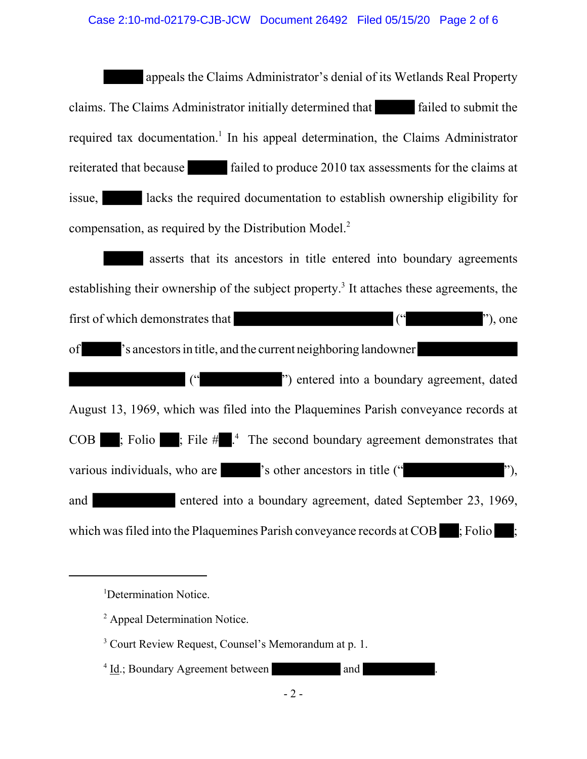appeals the Claims Administrator's denial of its Wetlands Real Property claims. The Claims Administrator initially determined that failed to submit the required tax documentation.<sup>1</sup> In his appeal determination, the Claims Administrator reiterated that because failed to produce 2010 tax assessments for the claims at issue. **I** lacks the required documentation to establish ownership eligibility for compensation, as required by the Distribution Model.<sup>2</sup>

 asserts that its ancestors in title entered into boundary agreements establishing their ownership of the subject property.<sup>3</sup> It attaches these agreements, the first of which demonstrates that (" "), one of 's ancestors in title, and the current neighboring landowner (" ") entered into a boundary agreement, dated August 13, 1969, which was filed into the Plaquemines Parish conveyance records at  $\overline{COB}$  ; Folio ; File  $\#$  .<sup>4</sup> The second boundary agreement demonstrates that various individuals, who are  $\blacksquare$  's other ancestors in title (" and entered into a boundary agreement, dated September 23, 1969, which was filed into the Plaquemines Parish conveyance records at  $\text{COB}$ ; Folio

 $4 \underline{Id}$ .; Boundary Agreement between and .

<sup>&</sup>lt;sup>1</sup>Determination Notice.

<sup>&</sup>lt;sup>2</sup> Appeal Determination Notice.

<sup>&</sup>lt;sup>3</sup> Court Review Request, Counsel's Memorandum at p. 1.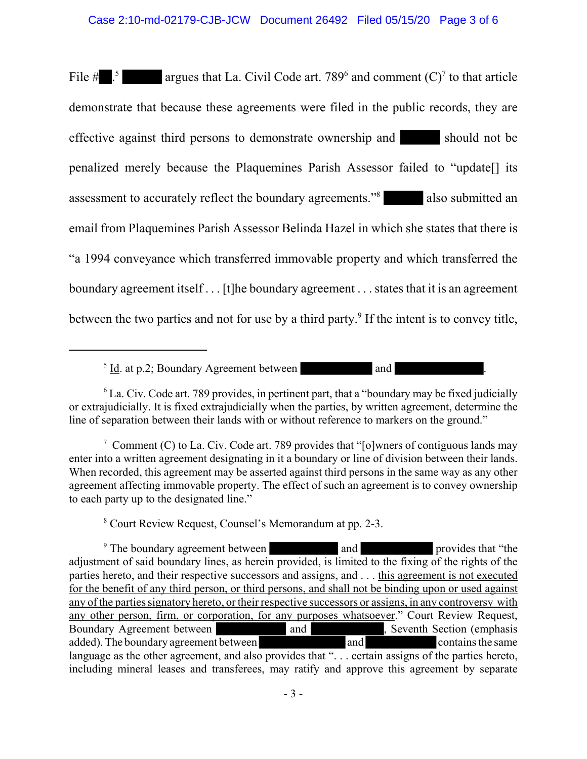### Case 2:10-md-02179-CJB-JCW Document 26492 Filed 05/15/20 Page 3 of 6

File  $\#$  .<sup>5</sup> argues that La. Civil Code art. 789<sup>6</sup> and comment (C)<sup>7</sup> to that article demonstrate that because these agreements were filed in the public records, they are effective against third persons to demonstrate ownership and should not be penalized merely because the Plaquemines Parish Assessor failed to "update[] its assessment to accurately reflect the boundary agreements."<sup>8</sup> also submitted an email from Plaquemines Parish Assessor Belinda Hazel in which she states that there is "a 1994 conveyance which transferred immovable property and which transferred the boundary agreement itself . . . [t]he boundary agreement . . . states that it is an agreement between the two parties and not for use by a third party.<sup>9</sup> If the intent is to convey title,

 $5 \underline{Id}$  at p.2; Boundary Agreement between and  $1 \underline{Id}$  and  $1 \underline{Id}$ .

<sup>6</sup> La. Civ. Code art. 789 provides, in pertinent part, that a "boundary may be fixed judicially or extrajudicially. It is fixed extrajudicially when the parties, by written agreement, determine the line of separation between their lands with or without reference to markers on the ground."

<sup>7</sup> Comment (C) to La. Civ. Code art. 789 provides that "[o]wners of contiguous lands may enter into a written agreement designating in it a boundary or line of division between their lands. When recorded, this agreement may be asserted against third persons in the same way as any other agreement affecting immovable property. The effect of such an agreement is to convey ownership to each party up to the designated line."

8 Court Review Request, Counsel's Memorandum at pp. 2-3.

<sup>9</sup> The boundary agreement between and provides that "the adjustment of said boundary lines, as herein provided, is limited to the fixing of the rights of the parties hereto, and their respective successors and assigns, and . . . this agreement is not executed for the benefit of any third person, or third persons, and shall not be binding upon or used against any of the parties signatory hereto, or their respective successors or assigns, in any controversy with any other person, firm, or corporation, for any purposes whatsoever." Court Review Request, Boundary Agreement between and and , Seventh Section (emphasis added). The boundary agreement between and and  $\overline{\phantom{a}}$ , Seventh Section (emphasis contains the same added). The boundary agreement between and and contains the same language as the other agreement, and also provides that "... certain assigns of the parties hereto, including mineral leases and transferees, may ratify and approve this agreement by separate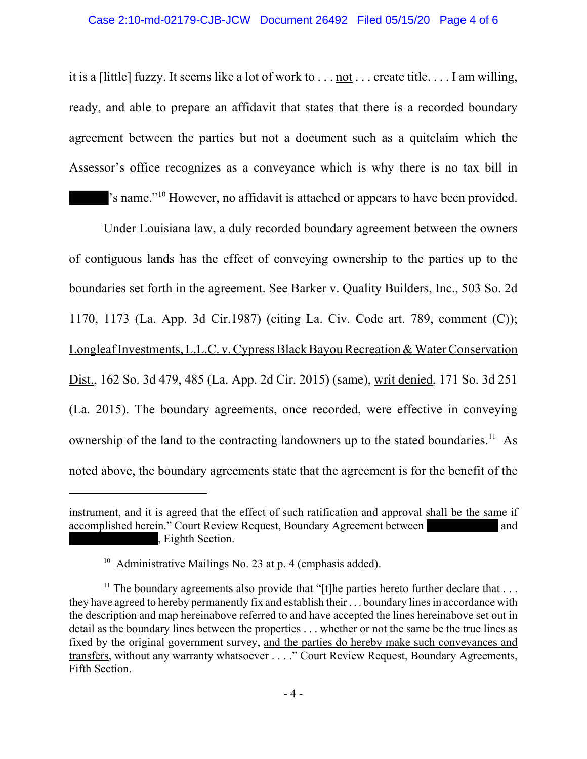### Case 2:10-md-02179-CJB-JCW Document 26492 Filed 05/15/20 Page 4 of 6

it is a [little] fuzzy. It seems like a lot of work to . . . not . . . create title. . . . I am willing, ready, and able to prepare an affidavit that states that there is a recorded boundary agreement between the parties but not a document such as a quitclaim which the Assessor's office recognizes as a conveyance which is why there is no tax bill in 's name."10 However, no affidavit is attached or appears to have been provided.

Under Louisiana law, a duly recorded boundary agreement between the owners of contiguous lands has the effect of conveying ownership to the parties up to the boundaries set forth in the agreement. See Barker v. Quality Builders, Inc., 503 So. 2d 1170, 1173 (La. App. 3d Cir.1987) (citing La. Civ. Code art. 789, comment (C)); Longleaf Investments, L.L.C. v. Cypress Black Bayou Recreation & Water Conservation Dist., 162 So. 3d 479, 485 (La. App. 2d Cir. 2015) (same), writ denied, 171 So. 3d 251 (La. 2015). The boundary agreements, once recorded, were effective in conveying ownership of the land to the contracting landowners up to the stated boundaries.<sup>11</sup> As noted above, the boundary agreements state that the agreement is for the benefit of the

instrument, and it is agreed that the effect of such ratification and approval shall be the same if accomplished herein." Court Review Request, Boundary Agreement between and and , Eighth Section.

<sup>&</sup>lt;sup>10</sup> Administrative Mailings No. 23 at p. 4 (emphasis added).

<sup>&</sup>lt;sup>11</sup> The boundary agreements also provide that "[t]he parties hereto further declare that  $\dots$ they have agreed to hereby permanently fix and establish their . . . boundary lines in accordance with the description and map hereinabove referred to and have accepted the lines hereinabove set out in detail as the boundary lines between the properties . . . whether or not the same be the true lines as fixed by the original government survey, and the parties do hereby make such conveyances and transfers, without any warranty whatsoever . . . ." Court Review Request, Boundary Agreements, Fifth Section.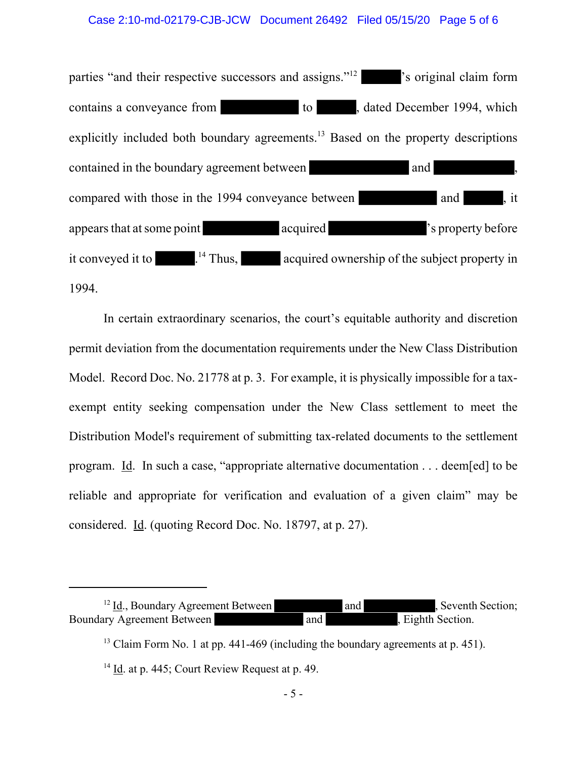#### Case 2:10-md-02179-CJB-JCW Document 26492 Filed 05/15/20 Page 5 of 6

parties "and their respective successors and assigns."<sup>12</sup> 's original claim form contains a conveyance from to to the dated December 1994, which explicitly included both boundary agreements.<sup>13</sup> Based on the property descriptions contained in the boundary agreement between and and  $\blacksquare$ compared with those in the 1994 conveyance between and , it appears that at some point acquired  $\blacksquare$ it conveyed it to  $\frac{1}{4}$  Thus, acquired ownership of the subject property in 1994.

In certain extraordinary scenarios, the court's equitable authority and discretion permit deviation from the documentation requirements under the New Class Distribution Model. Record Doc. No. 21778 at p. 3. For example, it is physically impossible for a taxexempt entity seeking compensation under the New Class settlement to meet the Distribution Model's requirement of submitting tax-related documents to the settlement program. Id. In such a case, "appropriate alternative documentation . . . deem[ed] to be reliable and appropriate for verification and evaluation of a given claim" may be considered. Id. (quoting Record Doc. No. 18797, at p. 27).

 $12$  Id., Boundary Agreement Between and and , Seventh Section; Boundary Agreement Between and and , Eighth Section.

 $13$  Claim Form No. 1 at pp. 441-469 (including the boundary agreements at p. 451).

<sup>&</sup>lt;sup>14</sup> Id. at p. 445; Court Review Request at p. 49.